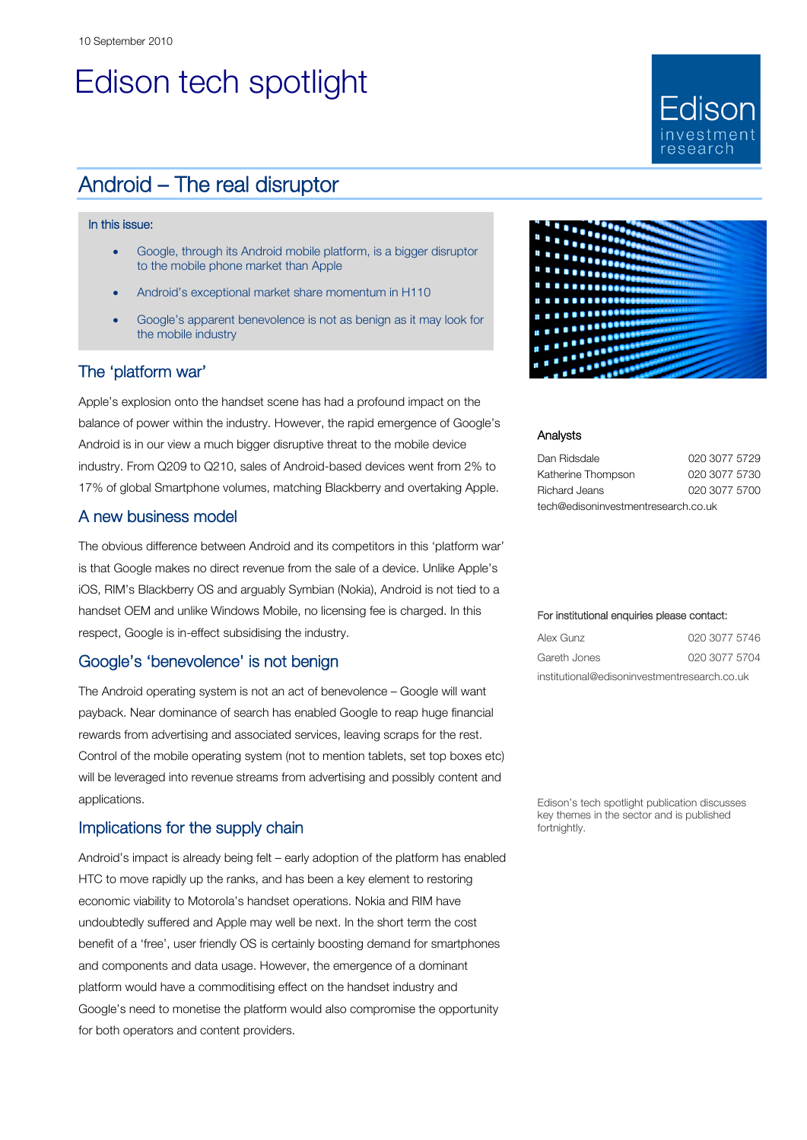# Edison tech spotlight

## Android – The real disruptor

#### In this issue:

- Google, through its Android mobile platform, is a bigger disruptor to the mobile phone market than Apple
- Android's exceptional market share momentum in H110
- Google's apparent benevolence is not as benign as it may look for the mobile industry

#### The 'platform war'

Apple's explosion onto the handset scene has had a profound impact on the balance of power within the industry. However, the rapid emergence of Google's Android is in our view a much bigger disruptive threat to the mobile device industry. From Q209 to Q210, sales of Android-based devices went from 2% to 17% of global Smartphone volumes, matching Blackberry and overtaking Apple.

#### A new business model

The obvious difference between Android and its competitors in this 'platform war' is that Google makes no direct revenue from the sale of a device. Unlike Apple's iOS, RIM's Blackberry OS and arguably Symbian (Nokia), Android is not tied to a handset OEM and unlike Windows Mobile, no licensing fee is charged. In this respect, Google is in-effect subsidising the industry.

#### Google's 'benevolence' is not benign

The Android operating system is not an act of benevolence – Google will want payback. Near dominance of search has enabled Google to reap huge financial rewards from advertising and associated services, leaving scraps for the rest. Control of the mobile operating system (not to mention tablets, set top boxes etc) will be leveraged into revenue streams from advertising and possibly content and applications.

#### Implications for the supply chain

Android's impact is already being felt – early adoption of the platform has enabled HTC to move rapidly up the ranks, and has been a key element to restoring economic viability to Motorola's handset operations. Nokia and RIM have undoubtedly suffered and Apple may well be next. In the short term the cost benefit of a 'free', user friendly OS is certainly boosting demand for smartphones and components and data usage. However, the emergence of a dominant platform would have a commoditising effect on the handset industry and Google's need to monetise the platform would also compromise the opportunity for both operators and content providers.



Fdison

#### Analysts

| Dan Ridsdale                        | 020 3077 5729 |  |  |  |
|-------------------------------------|---------------|--|--|--|
| Katherine Thompson                  | 020 3077 5730 |  |  |  |
| Richard Jeans                       | 020 3077 5700 |  |  |  |
| tech@edisoninvestmentresearch.co.uk |               |  |  |  |

#### For institutional enquiries please contact:

| Alex Gunz                                    | 020 3077 5746 |  |  |  |
|----------------------------------------------|---------------|--|--|--|
| Gareth Jones                                 | 020 3077 5704 |  |  |  |
| institutional@edisoninvestmentresearch.co.uk |               |  |  |  |

Edison's tech spotlight publication discusses key themes in the sector and is published fortnightly.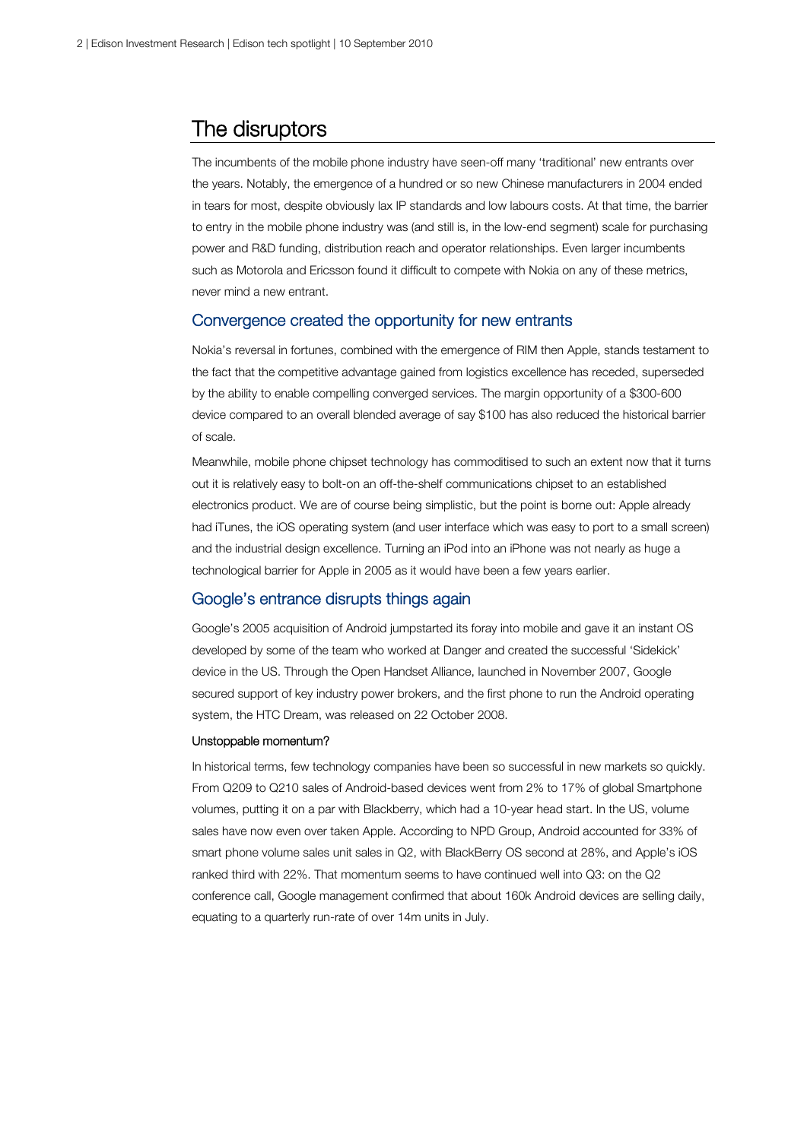### The disruptors

The incumbents of the mobile phone industry have seen-off many 'traditional' new entrants over the years. Notably, the emergence of a hundred or so new Chinese manufacturers in 2004 ended in tears for most, despite obviously lax IP standards and low labours costs. At that time, the barrier to entry in the mobile phone industry was (and still is, in the low-end segment) scale for purchasing power and R&D funding, distribution reach and operator relationships. Even larger incumbents such as Motorola and Ericsson found it difficult to compete with Nokia on any of these metrics, never mind a new entrant.

#### Convergence created the opportunity for new entrants

Nokia's reversal in fortunes, combined with the emergence of RIM then Apple, stands testament to the fact that the competitive advantage gained from logistics excellence has receded, superseded by the ability to enable compelling converged services. The margin opportunity of a \$300-600 device compared to an overall blended average of say \$100 has also reduced the historical barrier of scale.

Meanwhile, mobile phone chipset technology has commoditised to such an extent now that it turns out it is relatively easy to bolt-on an off-the-shelf communications chipset to an established electronics product. We are of course being simplistic, but the point is borne out: Apple already had iTunes, the iOS operating system (and user interface which was easy to port to a small screen) and the industrial design excellence. Turning an iPod into an iPhone was not nearly as huge a technological barrier for Apple in 2005 as it would have been a few years earlier.

### Google's entrance disrupts things again

Google's 2005 acquisition of Android jumpstarted its foray into mobile and gave it an instant OS developed by some of the team who worked at Danger and created the successful 'Sidekick' device in the US. Through the Open Handset Alliance, launched in November 2007, Google secured support of key industry power brokers, and the first phone to run the Android operating system, the HTC Dream, was released on 22 October 2008.

#### Unstoppable momentum?

In historical terms, few technology companies have been so successful in new markets so quickly. From Q209 to Q210 sales of Android-based devices went from 2% to 17% of global Smartphone volumes, putting it on a par with Blackberry, which had a 10-year head start. In the US, volume sales have now even over taken Apple. According to NPD Group, Android accounted for 33% of smart phone volume sales unit sales in Q2, with BlackBerry OS second at 28%, and Apple's iOS ranked third with 22%. That momentum seems to have continued well into Q3: on the Q2 conference call, Google management confirmed that about 160k Android devices are selling daily, equating to a quarterly run-rate of over 14m units in July.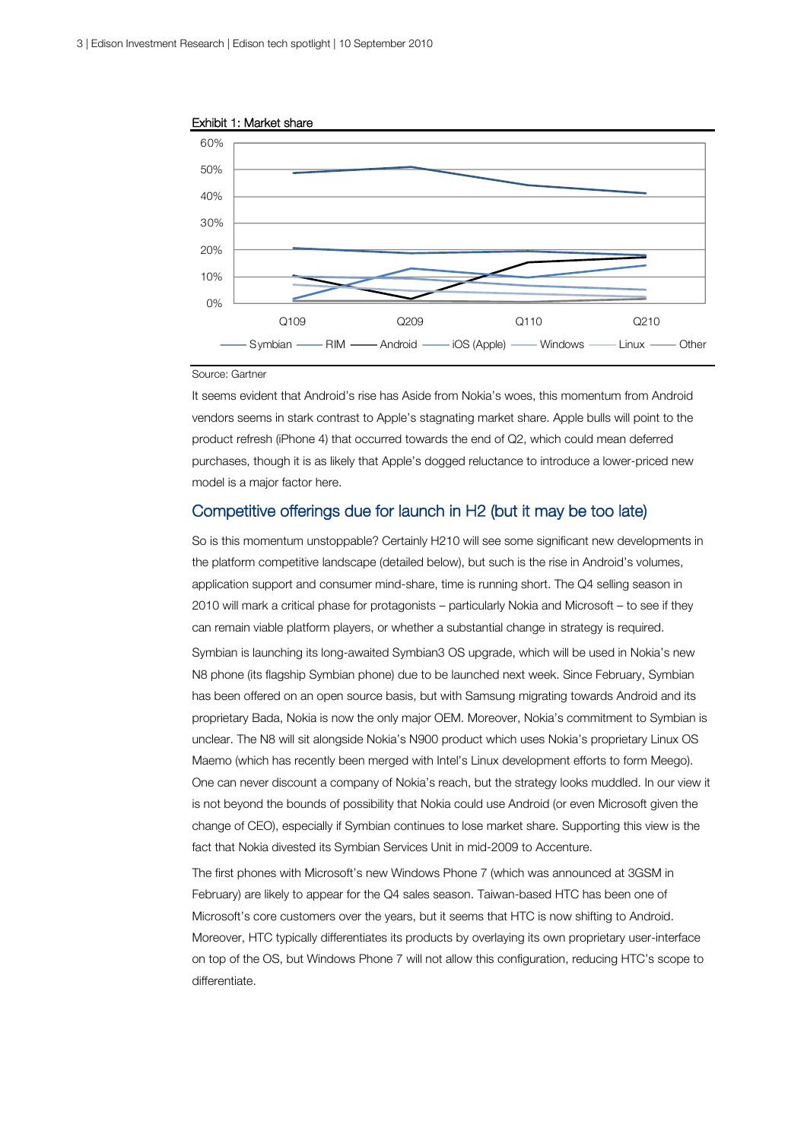



#### Source: Gartner

It seems evident that Android's rise has Aside from Nokia's woes, this momentum from Android vendors seems in stark contrast to Apple's stagnating market share. Apple bulls will point to the product refresh (iPhone 4) that occurred towards the end of Q2, which could mean deferred purchases, though it is as likely that Apple's dogged reluctance to introduce a lower-priced new model is a major factor here.

### Competitive offerings due for launch in H2 (but it may be too late)

So is this momentum unstoppable? Certainly H210 will see some significant new developments in the platform competitive landscape (detailed below), but such is the rise in Android's volumes, application support and consumer mind-share, time is running short. The Q4 selling season in 2010 will mark a critical phase for protagonists – particularly Nokia and Microsoft – to see if they can remain viable platform players, or whether a substantial change in strategy is required. Symbian is launching its long-awaited Symbian3 OS upgrade, which will be used in Nokia's new N8 phone (its flagship Symbian phone) due to be launched next week. Since February, Symbian has been offered on an open source basis, but with Samsung migrating towards Android and its proprietary Bada, Nokia is now the only major OEM. Moreover, Nokia's commitment to Symbian is unclear. The N8 will sit alongside Nokia's N900 product which uses Nokia's proprietary Linux OS Maemo (which has recently been merged with Intel's Linux development efforts to form Meego). One can never discount a company of Nokia's reach, but the strategy looks muddled. In our view it is not beyond the bounds of possibility that Nokia could use Android (or even Microsoft given the change of CEO), especially if Symbian continues to lose market share. Supporting this view is the fact that Nokia divested its Symbian Services Unit in mid-2009 to Accenture.

The first phones with Microsoft's new Windows Phone 7 (which was announced at 3GSM in February) are likely to appear for the Q4 sales season. Taiwan-based HTC has been one of Microsoft's core customers over the years, but it seems that HTC is now shifting to Android. Moreover, HTC typically differentiates its products by overlaying its own proprietary user-interface on top of the OS, but Windows Phone 7 will not allow this configuration, reducing HTC's scope to differentiate.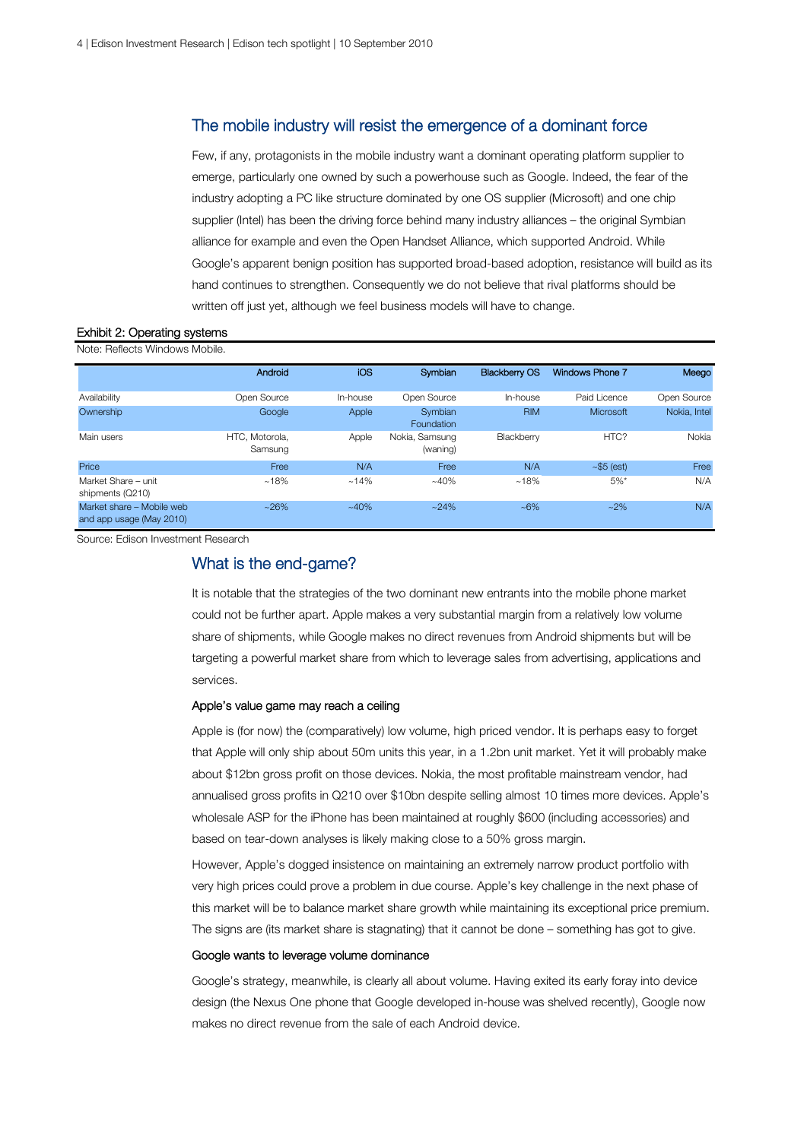#### The mobile industry will resist the emergence of a dominant force

Few, if any, protagonists in the mobile industry want a dominant operating platform supplier to emerge, particularly one owned by such a powerhouse such as Google. Indeed, the fear of the industry adopting a PC like structure dominated by one OS supplier (Microsoft) and one chip supplier (Intel) has been the driving force behind many industry alliances – the original Symbian alliance for example and even the Open Handset Alliance, which supported Android. While Google's apparent benign position has supported broad-based adoption, resistance will build as its hand continues to strengthen. Consequently we do not believe that rival platforms should be written off just yet, although we feel business models will have to change.

#### Exhibit 2: Operating systems Note: Petlecte Windows Mobile

| 1 1000 1101000 111100110 110010                       |                           |            |                            |                      |                        |              |
|-------------------------------------------------------|---------------------------|------------|----------------------------|----------------------|------------------------|--------------|
|                                                       | Android                   | <b>iOS</b> | Symbian                    | <b>Blackberry OS</b> | <b>Windows Phone 7</b> | Meego        |
| Availability                                          | Open Source               | In-house   | Open Source                | In-house             | Paid Licence           | Open Source  |
| Ownership                                             | Google                    | Apple      | Symbian<br>Foundation      | <b>RIM</b>           | <b>Microsoft</b>       | Nokia, Intel |
| Main users                                            | HTC. Motorola.<br>Samsung | Apple      | Nokia, Samsung<br>(waning) | Blackberry           | HTC?                   | Nokia        |
| Price                                                 | Free                      | N/A        | Free                       | N/A                  | $\sim$ \$5 (est)       | Free         |
| Market Share - unit<br>shipments (Q210)               | $~18\%$                   | $~14\%$    | $~140\%$                   | $~18\%$              | 5%                     | N/A          |
| Market share - Mobile web<br>and app usage (May 2010) | $~26\%$                   | $~140\%$   | $~24\%$                    | $~16\%$              | $~2\%$                 | N/A          |

Source: Edison Investment Research

#### What is the end-game?

It is notable that the strategies of the two dominant new entrants into the mobile phone market could not be further apart. Apple makes a very substantial margin from a relatively low volume share of shipments, while Google makes no direct revenues from Android shipments but will be targeting a powerful market share from which to leverage sales from advertising, applications and services.

#### Apple's value game may reach a ceiling

Apple is (for now) the (comparatively) low volume, high priced vendor. It is perhaps easy to forget that Apple will only ship about 50m units this year, in a 1.2bn unit market. Yet it will probably make about \$12bn gross profit on those devices. Nokia, the most profitable mainstream vendor, had annualised gross profits in Q210 over \$10bn despite selling almost 10 times more devices. Apple's wholesale ASP for the iPhone has been maintained at roughly \$600 (including accessories) and based on tear-down analyses is likely making close to a 50% gross margin.

However, Apple's dogged insistence on maintaining an extremely narrow product portfolio with very high prices could prove a problem in due course. Apple's key challenge in the next phase of this market will be to balance market share growth while maintaining its exceptional price premium. The signs are (its market share is stagnating) that it cannot be done – something has got to give.

#### Google wants to leverage volume dominance

Google's strategy, meanwhile, is clearly all about volume. Having exited its early foray into device design (the Nexus One phone that Google developed in-house was shelved recently), Google now makes no direct revenue from the sale of each Android device.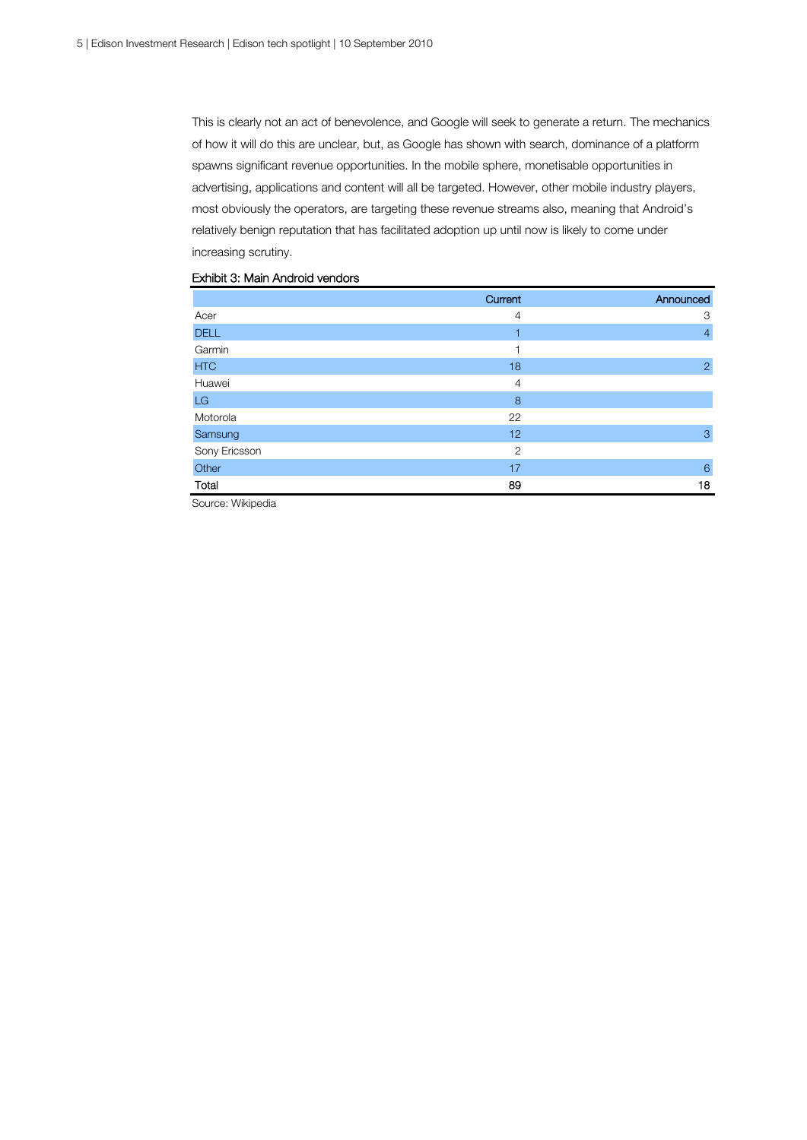This is clearly not an act of benevolence, and Google will seek to generate a return. The mechanics of how it will do this are unclear, but, as Google has shown with search, dominance of a platform spawns significant revenue opportunities. In the mobile sphere, monetisable opportunities in advertising, applications and content will all be targeted. However, other mobile industry players, most obviously the operators, are targeting these revenue streams also, meaning that Android's relatively benign reputation that has facilitated adoption up until now is likely to come under increasing scrutiny.

|               | Current        | Announced      |
|---------------|----------------|----------------|
| Acer          | $\overline{4}$ | 3              |
| <b>DELL</b>   | 1              | $\overline{4}$ |
| Garmin        |                |                |
| <b>HTC</b>    | 18             | 2              |
| Huawei        | $\overline{4}$ |                |
| LG            | 8              |                |
| Motorola      | 22             |                |
| Samsung       | 12             | 3              |
| Sony Ericsson | $\overline{2}$ |                |
| Other         | 17             | 6              |
| Total         | 89             | 18             |

#### Exhibit 3: Main Android vendors

Source: Wikipedia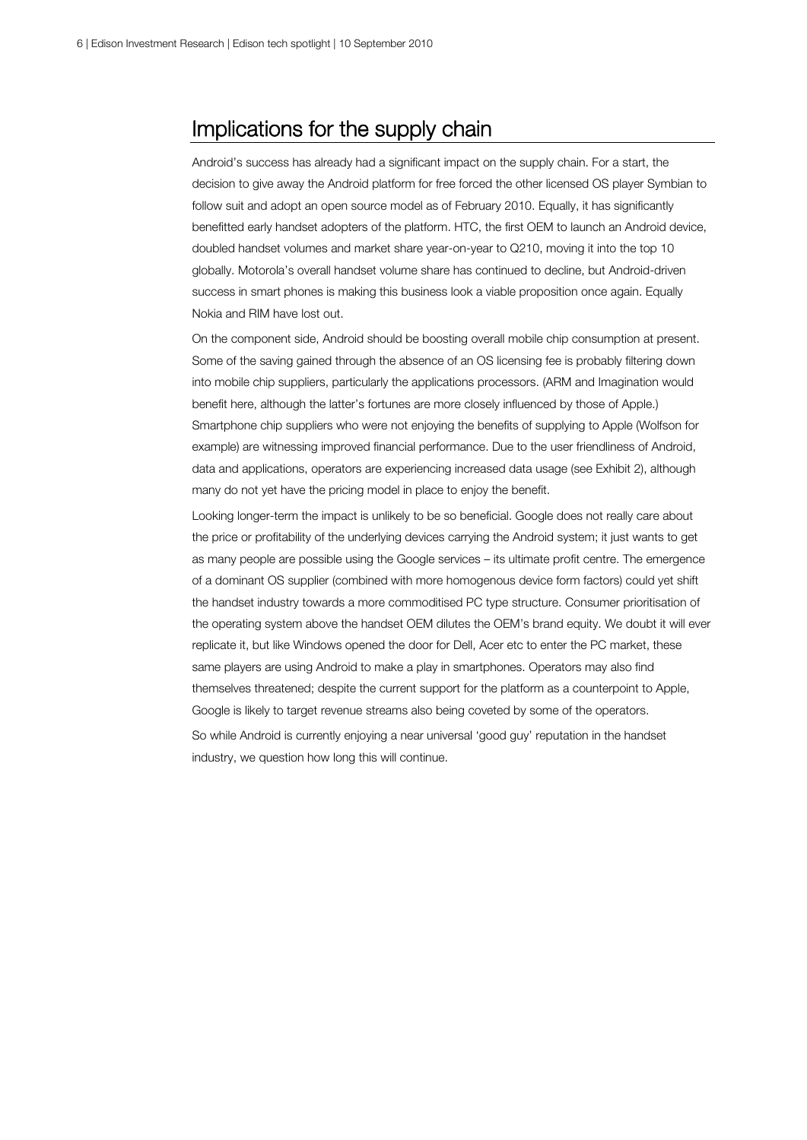## Implications for the supply chain

Android's success has already had a significant impact on the supply chain. For a start, the decision to give away the Android platform for free forced the other licensed OS player Symbian to follow suit and adopt an open source model as of February 2010. Equally, it has significantly benefitted early handset adopters of the platform. HTC, the first OEM to launch an Android device, doubled handset volumes and market share year-on-year to Q210, moving it into the top 10 globally. Motorola's overall handset volume share has continued to decline, but Android-driven success in smart phones is making this business look a viable proposition once again. Equally Nokia and RIM have lost out.

On the component side, Android should be boosting overall mobile chip consumption at present. Some of the saving gained through the absence of an OS licensing fee is probably filtering down into mobile chip suppliers, particularly the applications processors. (ARM and Imagination would benefit here, although the latter's fortunes are more closely influenced by those of Apple.) Smartphone chip suppliers who were not enjoying the benefits of supplying to Apple (Wolfson for example) are witnessing improved financial performance. Due to the user friendliness of Android, data and applications, operators are experiencing increased data usage (see Exhibit 2), although many do not yet have the pricing model in place to enjoy the benefit.

Looking longer-term the impact is unlikely to be so beneficial. Google does not really care about the price or profitability of the underlying devices carrying the Android system; it just wants to get as many people are possible using the Google services – its ultimate profit centre. The emergence of a dominant OS supplier (combined with more homogenous device form factors) could yet shift the handset industry towards a more commoditised PC type structure. Consumer prioritisation of the operating system above the handset OEM dilutes the OEM's brand equity. We doubt it will ever replicate it, but like Windows opened the door for Dell, Acer etc to enter the PC market, these same players are using Android to make a play in smartphones. Operators may also find themselves threatened; despite the current support for the platform as a counterpoint to Apple, Google is likely to target revenue streams also being coveted by some of the operators. So while Android is currently enjoying a near universal 'good guy' reputation in the handset industry, we question how long this will continue.